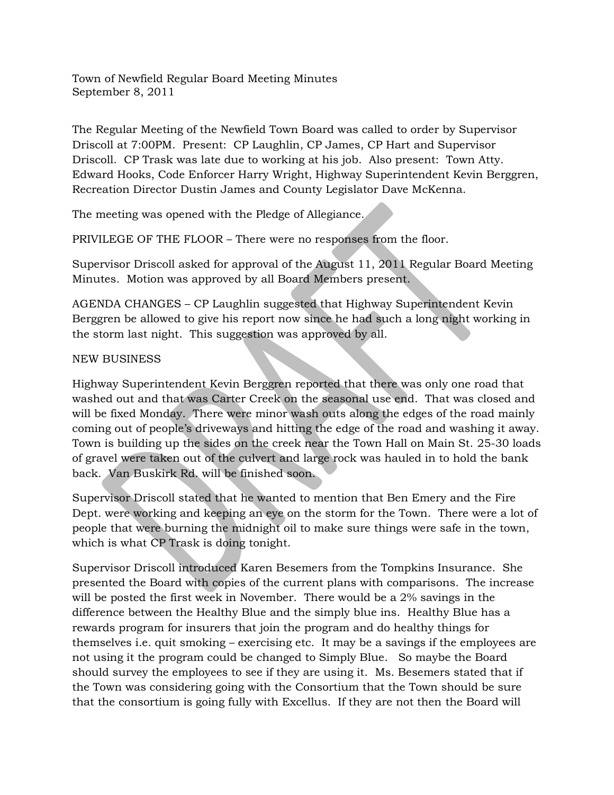Town of Newfield Regular Board Meeting Minutes September 8, 2011

The Regular Meeting of the Newfield Town Board was called to order by Supervisor Driscoll at 7:00PM. Present: CP Laughlin, CP James, CP Hart and Supervisor Driscoll. CP Trask was late due to working at his job. Also present: Town Atty. Edward Hooks, Code Enforcer Harry Wright, Highway Superintendent Kevin Berggren, Recreation Director Dustin James and County Legislator Dave McKenna.

The meeting was opened with the Pledge of Allegiance.

PRIVILEGE OF THE FLOOR – There were no responses from the floor.

Supervisor Driscoll asked for approval of the August 11, 2011 Regular Board Meeting Minutes. Motion was approved by all Board Members present.

AGENDA CHANGES – CP Laughlin suggested that Highway Superintendent Kevin Berggren be allowed to give his report now since he had such a long night working in the storm last night. This suggestion was approved by all.

## NEW BUSINESS

Highway Superintendent Kevin Berggren reported that there was only one road that washed out and that was Carter Creek on the seasonal use end. That was closed and will be fixed Monday. There were minor wash outs along the edges of the road mainly coming out of people's driveways and hitting the edge of the road and washing it away. Town is building up the sides on the creek near the Town Hall on Main St. 25-30 loads of gravel were taken out of the culvert and large rock was hauled in to hold the bank back. Van Buskirk Rd. will be finished soon.

Supervisor Driscoll stated that he wanted to mention that Ben Emery and the Fire Dept. were working and keeping an eye on the storm for the Town. There were a lot of people that were burning the midnight oil to make sure things were safe in the town, which is what CP Trask is doing tonight.

Supervisor Driscoll introduced Karen Besemers from the Tompkins Insurance. She presented the Board with copies of the current plans with comparisons. The increase will be posted the first week in November. There would be a 2% savings in the difference between the Healthy Blue and the simply blue ins. Healthy Blue has a rewards program for insurers that join the program and do healthy things for themselves i.e. quit smoking – exercising etc. It may be a savings if the employees are not using it the program could be changed to Simply Blue. So maybe the Board should survey the employees to see if they are using it. Ms. Besemers stated that if the Town was considering going with the Consortium that the Town should be sure that the consortium is going fully with Excellus. If they are not then the Board will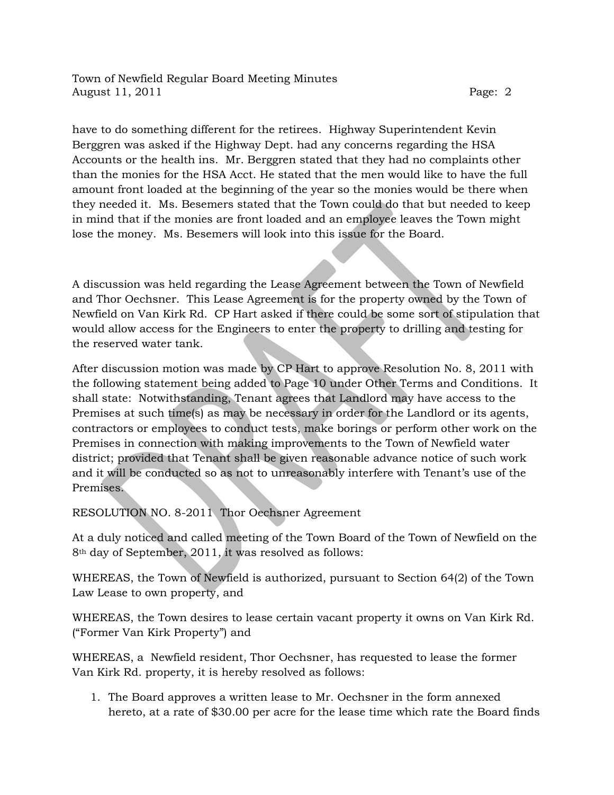have to do something different for the retirees. Highway Superintendent Kevin Berggren was asked if the Highway Dept. had any concerns regarding the HSA Accounts or the health ins. Mr. Berggren stated that they had no complaints other than the monies for the HSA Acct. He stated that the men would like to have the full amount front loaded at the beginning of the year so the monies would be there when they needed it. Ms. Besemers stated that the Town could do that but needed to keep in mind that if the monies are front loaded and an employee leaves the Town might lose the money. Ms. Besemers will look into this issue for the Board.

A discussion was held regarding the Lease Agreement between the Town of Newfield and Thor Oechsner. This Lease Agreement is for the property owned by the Town of Newfield on Van Kirk Rd. CP Hart asked if there could be some sort of stipulation that would allow access for the Engineers to enter the property to drilling and testing for the reserved water tank.

After discussion motion was made by CP Hart to approve Resolution No. 8, 2011 with the following statement being added to Page 10 under Other Terms and Conditions. It shall state: Notwithstanding, Tenant agrees that Landlord may have access to the Premises at such time(s) as may be necessary in order for the Landlord or its agents, contractors or employees to conduct tests, make borings or perform other work on the Premises in connection with making improvements to the Town of Newfield water district; provided that Tenant shall be given reasonable advance notice of such work and it will be conducted so as not to unreasonably interfere with Tenant's use of the Premises.

RESOLUTION NO. 8-2011 Thor Oechsner Agreement

At a duly noticed and called meeting of the Town Board of the Town of Newfield on the 8th day of September, 2011, it was resolved as follows:

WHEREAS, the Town of Newfield is authorized, pursuant to Section 64(2) of the Town Law Lease to own property, and

WHEREAS, the Town desires to lease certain vacant property it owns on Van Kirk Rd. ("Former Van Kirk Property") and

WHEREAS, a Newfield resident, Thor Oechsner, has requested to lease the former Van Kirk Rd. property, it is hereby resolved as follows:

1. The Board approves a written lease to Mr. Oechsner in the form annexed hereto, at a rate of \$30.00 per acre for the lease time which rate the Board finds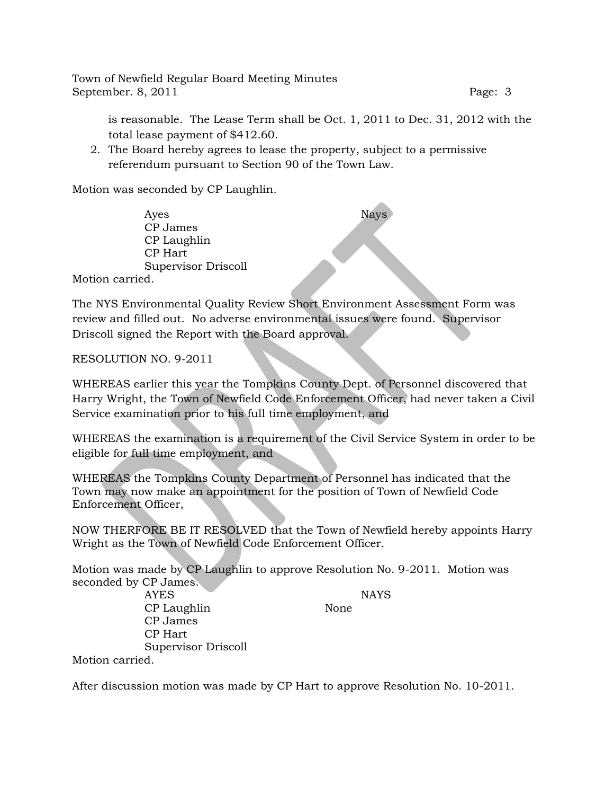Town of Newfield Regular Board Meeting Minutes September. 8, 2011 **Page: 3** 

is reasonable. The Lease Term shall be Oct. 1, 2011 to Dec. 31, 2012 with the total lease payment of \$412.60.

2. The Board hereby agrees to lease the property, subject to a permissive referendum pursuant to Section 90 of the Town Law.

Motion was seconded by CP Laughlin.

Ayes Nays CP James CP Laughlin CP Hart Supervisor Driscoll Motion carried.

The NYS Environmental Quality Review Short Environment Assessment Form was review and filled out. No adverse environmental issues were found. Supervisor Driscoll signed the Report with the Board approval.

RESOLUTION NO. 9-2011

WHEREAS earlier this year the Tompkins County Dept. of Personnel discovered that Harry Wright, the Town of Newfield Code Enforcement Officer, had never taken a Civil Service examination prior to his full time employment, and

WHEREAS the examination is a requirement of the Civil Service System in order to be eligible for full time employment, and

WHEREAS the Tompkins County Department of Personnel has indicated that the Town may now make an appointment for the position of Town of Newfield Code Enforcement Officer,

NOW THERFORE BE IT RESOLVED that the Town of Newfield hereby appoints Harry Wright as the Town of Newfield Code Enforcement Officer.

Motion was made by CP Laughlin to approve Resolution No. 9-2011. Motion was seconded by CP James.

AYES NAYS

CP Laughlin None

Motion carried.

CP James CP Hart

Supervisor Driscoll

After discussion motion was made by CP Hart to approve Resolution No. 10-2011.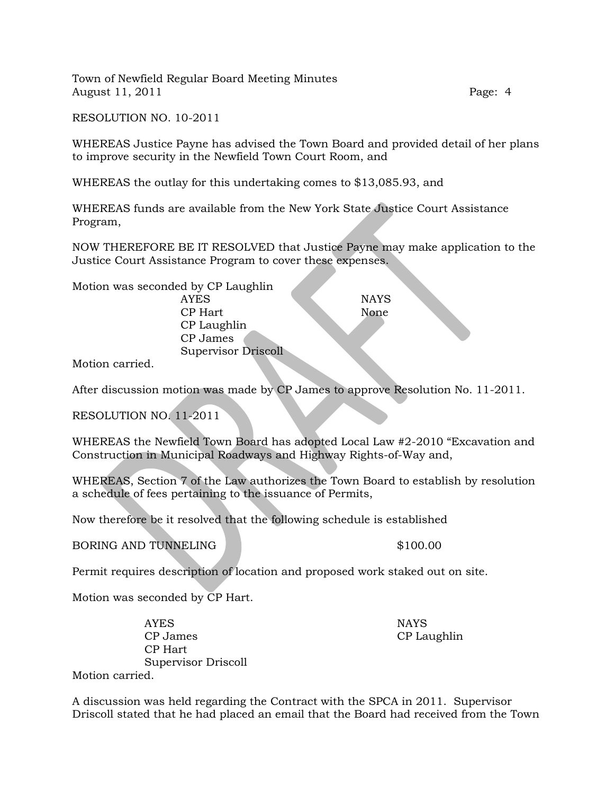RESOLUTION NO. 10-2011

WHEREAS Justice Payne has advised the Town Board and provided detail of her plans to improve security in the Newfield Town Court Room, and

WHEREAS the outlay for this undertaking comes to \$13,085.93, and

WHEREAS funds are available from the New York State Justice Court Assistance Program,

NOW THEREFORE BE IT RESOLVED that Justice Payne may make application to the Justice Court Assistance Program to cover these expenses.

Motion was seconded by CP Laughlin AYES NAYS CP Hart None CP Laughlin CP James Supervisor Driscoll

Motion carried.

After discussion motion was made by CP James to approve Resolution No. 11-2011.

RESOLUTION NO. 11-2011

WHEREAS the Newfield Town Board has adopted Local Law #2-2010 "Excavation and Construction in Municipal Roadways and Highway Rights-of-Way and,

WHEREAS, Section 7 of the Law authorizes the Town Board to establish by resolution a schedule of fees pertaining to the issuance of Permits,

Now therefore be it resolved that the following schedule is established

BORING AND TUNNELING \$100.00

Permit requires description of location and proposed work staked out on site.

Motion was seconded by CP Hart.

AYES NAYS CP James CP Laughlin CP Hart Supervisor Driscoll

Motion carried.

A discussion was held regarding the Contract with the SPCA in 2011. Supervisor Driscoll stated that he had placed an email that the Board had received from the Town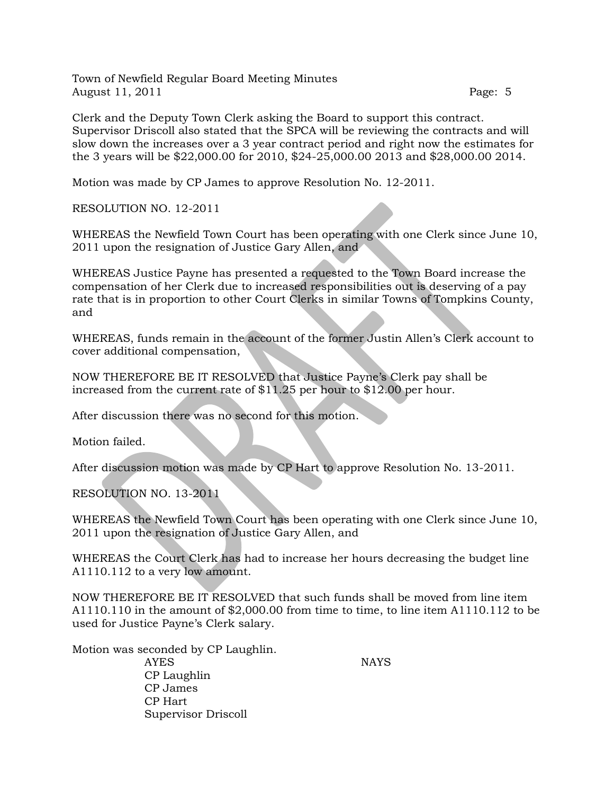Clerk and the Deputy Town Clerk asking the Board to support this contract. Supervisor Driscoll also stated that the SPCA will be reviewing the contracts and will slow down the increases over a 3 year contract period and right now the estimates for the 3 years will be \$22,000.00 for 2010, \$24-25,000.00 2013 and \$28,000.00 2014.

Motion was made by CP James to approve Resolution No. 12-2011.

RESOLUTION NO. 12-2011

WHEREAS the Newfield Town Court has been operating with one Clerk since June 10, 2011 upon the resignation of Justice Gary Allen, and

WHEREAS Justice Payne has presented a requested to the Town Board increase the compensation of her Clerk due to increased responsibilities out is deserving of a pay rate that is in proportion to other Court Clerks in similar Towns of Tompkins County, and

WHEREAS, funds remain in the account of the former Justin Allen's Clerk account to cover additional compensation,

NOW THEREFORE BE IT RESOLVED that Justice Payne's Clerk pay shall be increased from the current rate of \$11.25 per hour to \$12.00 per hour.

After discussion there was no second for this motion.

Motion failed.

After discussion motion was made by CP Hart to approve Resolution No. 13-2011.

RESOLUTION NO. 13-2011

WHEREAS the Newfield Town Court has been operating with one Clerk since June 10, 2011 upon the resignation of Justice Gary Allen, and

WHEREAS the Court Clerk has had to increase her hours decreasing the budget line A1110.112 to a very low amount.

NOW THEREFORE BE IT RESOLVED that such funds shall be moved from line item A1110.110 in the amount of \$2,000.00 from time to time, to line item A1110.112 to be used for Justice Payne's Clerk salary.

Motion was seconded by CP Laughlin.

AYES NAYS CP Laughlin CP James CP Hart Supervisor Driscoll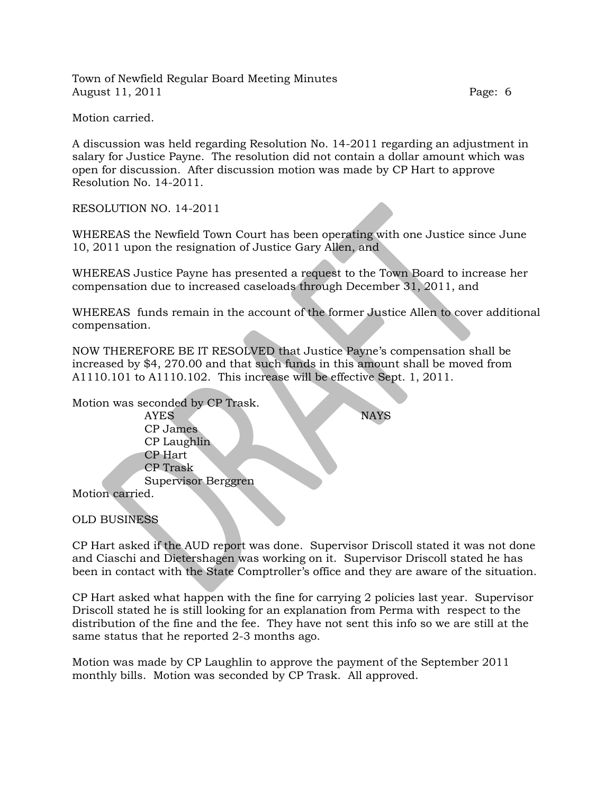Motion carried.

A discussion was held regarding Resolution No. 14-2011 regarding an adjustment in salary for Justice Payne. The resolution did not contain a dollar amount which was open for discussion. After discussion motion was made by CP Hart to approve Resolution No. 14-2011.

RESOLUTION NO. 14-2011

WHEREAS the Newfield Town Court has been operating with one Justice since June 10, 2011 upon the resignation of Justice Gary Allen, and

WHEREAS Justice Payne has presented a request to the Town Board to increase her compensation due to increased caseloads through December 31, 2011, and

WHEREAS funds remain in the account of the former Justice Allen to cover additional compensation.

NOW THEREFORE BE IT RESOLVED that Justice Payne's compensation shall be increased by \$4, 270.00 and that such funds in this amount shall be moved from A1110.101 to A1110.102. This increase will be effective Sept. 1, 2011.

Motion was seconded by CP Trask. AYES NAYS CP James CP Laughlin CP Hart CP Trask Supervisor Berggren Motion carried.

OLD BUSINESS

CP Hart asked if the AUD report was done. Supervisor Driscoll stated it was not done and Ciaschi and Dietershagen was working on it. Supervisor Driscoll stated he has been in contact with the State Comptroller's office and they are aware of the situation.

CP Hart asked what happen with the fine for carrying 2 policies last year. Supervisor Driscoll stated he is still looking for an explanation from Perma with respect to the distribution of the fine and the fee. They have not sent this info so we are still at the same status that he reported 2-3 months ago.

Motion was made by CP Laughlin to approve the payment of the September 2011 monthly bills. Motion was seconded by CP Trask. All approved.